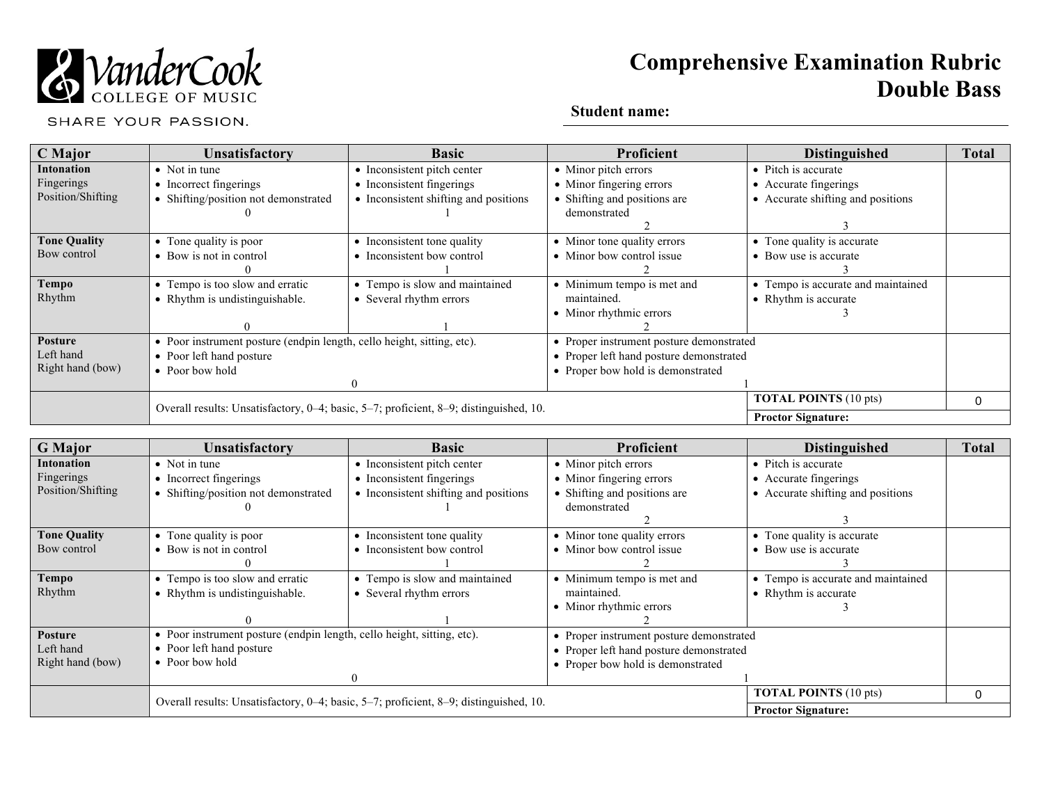

# **Comprehensive Examination Rubric Double Bass**

SHARE YOUR PASSION.

## **Student name:**

| <b>C</b> Major      | Unsatisfactory                                                                        | <b>Basic</b>                          | <b>Proficient</b>                        | <b>Distinguished</b>               | <b>Total</b> |
|---------------------|---------------------------------------------------------------------------------------|---------------------------------------|------------------------------------------|------------------------------------|--------------|
| <b>Intonation</b>   | • Not in tune                                                                         | • Inconsistent pitch center           | • Minor pitch errors                     | • Pitch is accurate                |              |
| Fingerings          | • Incorrect fingerings                                                                | • Inconsistent fingerings             | • Minor fingering errors                 | • Accurate fingerings              |              |
| Position/Shifting   | • Shifting/position not demonstrated                                                  | • Inconsistent shifting and positions | • Shifting and positions are             | • Accurate shifting and positions  |              |
|                     |                                                                                       |                                       | demonstrated                             |                                    |              |
|                     |                                                                                       |                                       |                                          |                                    |              |
| <b>Tone Quality</b> | • Tone quality is poor                                                                | • Inconsistent tone quality           | • Minor tone quality errors              | • Tone quality is accurate         |              |
| Bow control         | • Bow is not in control                                                               | • Inconsistent bow control            | • Minor bow control issue                | • Bow use is accurate              |              |
|                     |                                                                                       |                                       |                                          |                                    |              |
| <b>Tempo</b>        | • Tempo is too slow and erratic                                                       | • Tempo is slow and maintained        | • Minimum tempo is met and               | • Tempo is accurate and maintained |              |
| Rhythm              | • Rhythm is undistinguishable.                                                        | • Several rhythm errors               | maintained.                              | • Rhythm is accurate               |              |
|                     |                                                                                       |                                       | • Minor rhythmic errors                  |                                    |              |
|                     |                                                                                       |                                       |                                          |                                    |              |
| <b>Posture</b>      | • Poor instrument posture (endpin length, cello height, sitting, etc).                |                                       | • Proper instrument posture demonstrated |                                    |              |
| Left hand           | • Poor left hand posture                                                              |                                       | • Proper left hand posture demonstrated  |                                    |              |
| Right hand (bow)    | • Poor bow hold                                                                       |                                       | • Proper bow hold is demonstrated        |                                    |              |
|                     |                                                                                       | $\theta$                              |                                          |                                    |              |
|                     |                                                                                       |                                       |                                          | <b>TOTAL POINTS (10 pts)</b>       | 0            |
|                     | Overall results: Unsatisfactory, 0-4; basic, 5-7; proficient, 8-9; distinguished, 10. |                                       |                                          | <b>Proctor Signature:</b>          |              |

| <b>G</b> Major      | Unsatisfactory                                                                        | <b>Basic</b>                          | Proficient                               | <b>Distinguished</b>               | <b>Total</b> |
|---------------------|---------------------------------------------------------------------------------------|---------------------------------------|------------------------------------------|------------------------------------|--------------|
| Intonation          | $\bullet$ Not in tune                                                                 | • Inconsistent pitch center           | • Minor pitch errors                     | • Pitch is accurate                |              |
| Fingerings          | • Incorrect fingerings                                                                | • Inconsistent fingerings             | • Minor fingering errors                 | • Accurate fingerings              |              |
| Position/Shifting   | Shifting/position not demonstrated                                                    | • Inconsistent shifting and positions | • Shifting and positions are             | • Accurate shifting and positions  |              |
|                     |                                                                                       |                                       | demonstrated                             |                                    |              |
|                     |                                                                                       |                                       |                                          |                                    |              |
| <b>Tone Quality</b> | • Tone quality is poor                                                                | • Inconsistent tone quality           | • Minor tone quality errors              | • Tone quality is accurate         |              |
| Bow control         | • Bow is not in control                                                               | • Inconsistent bow control            | • Minor bow control issue                | • Bow use is accurate              |              |
|                     |                                                                                       |                                       |                                          |                                    |              |
| <b>Tempo</b>        | • Tempo is too slow and erratic                                                       | • Tempo is slow and maintained        | • Minimum tempo is met and               | • Tempo is accurate and maintained |              |
| Rhythm              | • Rhythm is undistinguishable.                                                        | • Several rhythm errors               | maintained.                              | • Rhythm is accurate               |              |
|                     |                                                                                       |                                       | • Minor rhythmic errors                  |                                    |              |
|                     |                                                                                       |                                       |                                          |                                    |              |
| <b>Posture</b>      | • Poor instrument posture (endpin length, cello height, sitting, etc).                |                                       | • Proper instrument posture demonstrated |                                    |              |
| Left hand           | • Poor left hand posture                                                              |                                       | • Proper left hand posture demonstrated  |                                    |              |
| Right hand (bow)    | • Poor bow hold                                                                       |                                       | • Proper bow hold is demonstrated        |                                    |              |
|                     |                                                                                       |                                       |                                          |                                    |              |
|                     | Overall results: Unsatisfactory, 0-4; basic, 5-7; proficient, 8-9; distinguished, 10. |                                       |                                          | <b>TOTAL POINTS (10 pts)</b>       | O            |
|                     |                                                                                       |                                       |                                          | <b>Proctor Signature:</b>          |              |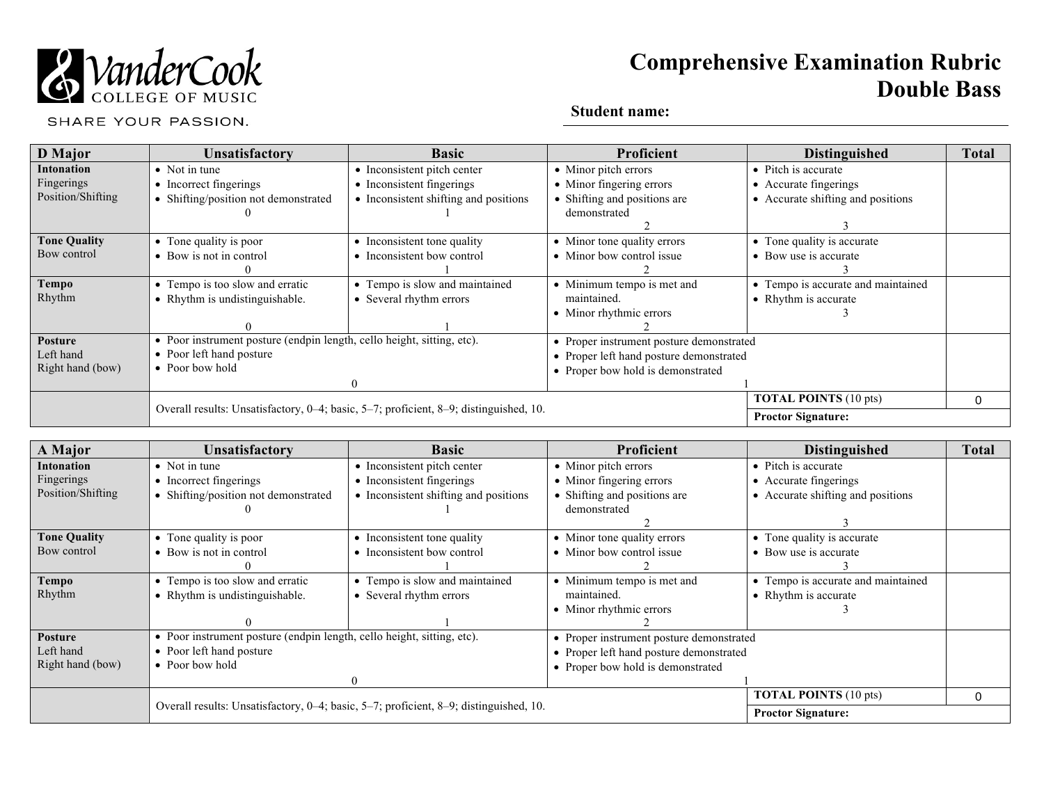

# **Comprehensive Examination Rubric Double Bass**

SHARE YOUR PASSION.

## **Student name:**

| <b>D</b> Major      | Unsatisfactory                                                                        | <b>Basic</b>                          | Proficient                               | <b>Distinguished</b>               | <b>Total</b> |
|---------------------|---------------------------------------------------------------------------------------|---------------------------------------|------------------------------------------|------------------------------------|--------------|
| Intonation          | • Not in tune                                                                         | • Inconsistent pitch center           | • Minor pitch errors                     | • Pitch is accurate                |              |
| Fingerings          | • Incorrect fingerings                                                                | • Inconsistent fingerings             | • Minor fingering errors                 | • Accurate fingerings              |              |
| Position/Shifting   | • Shifting/position not demonstrated                                                  | • Inconsistent shifting and positions | • Shifting and positions are             | • Accurate shifting and positions  |              |
|                     |                                                                                       |                                       | demonstrated                             |                                    |              |
|                     |                                                                                       |                                       |                                          |                                    |              |
| <b>Tone Quality</b> | • Tone quality is poor                                                                | • Inconsistent tone quality           | • Minor tone quality errors              | • Tone quality is accurate         |              |
| Bow control         | • Bow is not in control                                                               | • Inconsistent bow control            | • Minor bow control issue                | • Bow use is accurate              |              |
|                     |                                                                                       |                                       |                                          |                                    |              |
| <b>Tempo</b>        | • Tempo is too slow and erratic                                                       | • Tempo is slow and maintained        | • Minimum tempo is met and               | • Tempo is accurate and maintained |              |
| Rhythm              | • Rhythm is undistinguishable.                                                        | • Several rhythm errors               | maintained.                              | • Rhythm is accurate               |              |
|                     |                                                                                       |                                       | • Minor rhythmic errors                  |                                    |              |
|                     |                                                                                       |                                       |                                          |                                    |              |
| Posture             | • Poor instrument posture (endpin length, cello height, sitting, etc).                |                                       | • Proper instrument posture demonstrated |                                    |              |
| Left hand           | • Poor left hand posture                                                              |                                       | • Proper left hand posture demonstrated  |                                    |              |
| Right hand (bow)    | $\bullet$ Poor bow hold                                                               |                                       | • Proper bow hold is demonstrated        |                                    |              |
|                     |                                                                                       |                                       |                                          |                                    |              |
|                     |                                                                                       |                                       |                                          | <b>TOTAL POINTS (10 pts)</b>       |              |
|                     | Overall results: Unsatisfactory, 0-4; basic, 5-7; proficient, 8-9; distinguished, 10. |                                       |                                          | <b>Proctor Signature:</b>          |              |

| A Major             | Unsatisfactory                                                                        | <b>Basic</b>                          | Proficient                               | <b>Distinguished</b>               | <b>Total</b> |
|---------------------|---------------------------------------------------------------------------------------|---------------------------------------|------------------------------------------|------------------------------------|--------------|
| <b>Intonation</b>   | $\bullet$ Not in tune                                                                 | • Inconsistent pitch center           | • Minor pitch errors                     | • Pitch is accurate                |              |
| Fingerings          | • Incorrect fingerings                                                                | • Inconsistent fingerings             | • Minor fingering errors                 | • Accurate fingerings              |              |
| Position/Shifting   | • Shifting/position not demonstrated                                                  | • Inconsistent shifting and positions | • Shifting and positions are             | • Accurate shifting and positions  |              |
|                     |                                                                                       |                                       | demonstrated                             |                                    |              |
|                     |                                                                                       |                                       |                                          |                                    |              |
| <b>Tone Quality</b> | • Tone quality is poor                                                                | • Inconsistent tone quality           | • Minor tone quality errors              | • Tone quality is accurate         |              |
| Bow control         | • Bow is not in control                                                               | • Inconsistent bow control            | • Minor bow control issue                | • Bow use is accurate              |              |
|                     |                                                                                       |                                       |                                          |                                    |              |
| <b>Tempo</b>        | • Tempo is too slow and erratic                                                       | • Tempo is slow and maintained        | • Minimum tempo is met and               | • Tempo is accurate and maintained |              |
| Rhythm              | • Rhythm is undistinguishable.                                                        | • Several rhythm errors               | maintained.                              | • Rhythm is accurate               |              |
|                     |                                                                                       |                                       | • Minor rhythmic errors                  |                                    |              |
|                     |                                                                                       |                                       |                                          |                                    |              |
| <b>Posture</b>      | • Poor instrument posture (endpin length, cello height, sitting, etc).                |                                       | • Proper instrument posture demonstrated |                                    |              |
| Left hand           | • Poor left hand posture                                                              |                                       | • Proper left hand posture demonstrated  |                                    |              |
| Right hand (bow)    | $\bullet$ Poor bow hold                                                               |                                       | • Proper bow hold is demonstrated        |                                    |              |
|                     |                                                                                       |                                       |                                          |                                    |              |
|                     |                                                                                       |                                       |                                          | <b>TOTAL POINTS (10 pts)</b>       | 0            |
|                     | Overall results: Unsatisfactory, 0-4; basic, 5-7; proficient, 8-9; distinguished, 10. |                                       |                                          | <b>Proctor Signature:</b>          |              |